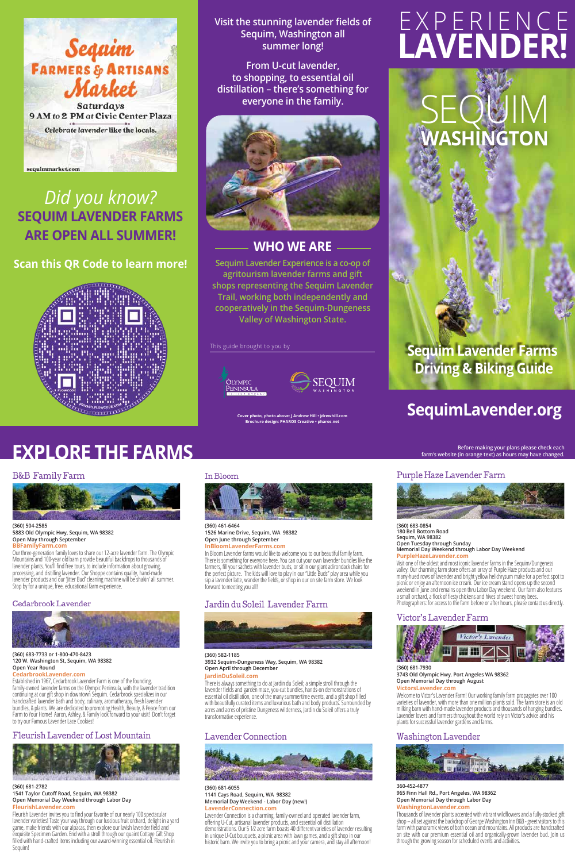# **SequimLavender.org**

 $\mathsf{E}\mathsf{Q}\mathsf{W}$ l $\mathsf{N}$ **WASHINGTON**

# **Sequim Lavender Farms Driving & Biking Guide**

# EXPERIENCE **LAVENDER!**

This guide brought to you by





**Cover photo, photo above: J Andrew Hill • jdrewhill.com Brochure design: PHAROS Creative • pharos.net**



# *Did you know?* **SEQUIM LAVENDER FARMS ARE OPEN ALL SUMMER!**

**Scan this QR Code to learn more!**



**Visit the stunning lavender fields of Sequim, Washington all summer long!** 

**From U-cut lavender, to shopping, to essential oil distillation – there's something for everyone in the family.**



# **WHO WE ARE**

**Sequim Lavender Experience is a co-op of agritourism lavender farms and gift shops representing the Sequim Lavender Trail, working both independently and cooperatively in the Sequim-Dungeness Valley of Washington State.**

Purple Haze Lavender Farm



**(360) 683-0854 180 Bell Bottom Road Sequim, WA 98382 Open Tuesday through Sunday Memorial Day Weekend through Labor Day Weekend PurpleHazeLavender.com**

Welcome to Victor's Lavender Farm! Our working family farm propagates over 100 varieties of lavender, with more than one million plants sold. The farm store is an old milking barn with hand-made lavender products and thousands of hanging bundles. Lavender lovers and farmers throughout the world rely on Victor's advice and his plants for successful lavender gardens and farms.

Visit one of the oldest and most iconic lavender farms in the Sequim/Dungeness valley. Our charming farm store offers an array of Purple Haze products and our many-hued rows of lavender and bright yellow helichrysum make for a perfect spot to picnic or enjoy an afternoon ice cream. Our ice cream stand opens up the second weekend in June and remains open thru Labor Day weekend. Our farm also features a small orchard, a flock of fiesty chickens and hives of sweet honey bees. Photographers: for access to the farm before or after hours, please contact us directly.

### Victor's Lavender Farm



**(360) 681-7930 3743 Old Olympic Hwy. Port Angeles WA 98362 Open Memorial Day through August VictorsLavender.com**

### Washington Lavender



**360-452-4877 965 Finn Hall Rd., Port Angeles, WA 98362 Open Memorial Day through Labor Day**

#### **WashingtonLavender.com**

Thousands of lavender plants accented with vibrant wildflowers and a fully-stocked gift shop – all set against the backdrop of George Washington Inn B&B - greet visitors to this farm with panoramic views of both ocean and mountains. All products are handcrafted on site with our premium essential oil and organically-grown lavender bud. Join us through the growing season for scheduled events and activities.

#### In Bloom



**(360) 461-6464 1526 Marine Drive, Sequim, WA 98382 Open June through September InBloomLavenderFarms.com**

In Bloom Lavender farms would like to welcome you to our beautiful family farm. There is something for everyone here. You can cut your own lavender bundles like the farmers, fill your sachets with lavender buds, or sit in our giant adirondack chairs for the perfect picture. The kids will love to play in our "Little Buds" play area while you sip a lavender latte, wander the fields, or shop in our on site farm store. We look forward to meeting you all!

Fleurish Lavender invites you to find your favorite of our nearly 100 spectacular<br>lavender varieties! Taste your way through our luscious fruit orchard, delight in a yard<br>game, make friends with our alpacas, then explore o exquisite Specimen Garden. End with a stroll through our quaint Cottage Gift Shop filled with hand-crafted items including our award-winning essential oil. Fleurish in Sequim!

## Jardin du Soleil Lavender Farm



#### **(360) 582-1185 3932 Sequim-Dungeness Way, Sequim, WA 98382 Open April through December**

#### **JardinDuSoleil.com**

There is always something to do at Jardin du Soleil; a simple stroll through the lavender fields and garden maze, you-cut bundles, hands-on demonstrations of essential oil distillation, one of the many summertime events, and a gift shop filled with beautifully curated items and luxurious bath and body products. Surrounded by acres and acres of pristine Dungeness wilderness, Jardin du Soleil offers a truly transformative experience.

### Lavender Connection



#### **(360) 681-6055 1141 Cays Road, Sequim, WA 98382 Memorial Day Weekend - Labor Day (new!) LavenderConnection.com**

Lavender Connection is a charming, family-owned and operated lavender farm, offering U-Cut, artisanal lavender products, and essential oil distillation demonstrations. Our 5 1⁄2 acre farm boasts 40 different varieties of lavender resulting in unique U-Cut bouquets, a picnic area with lawn games, and a gift shop in our historic barn. We invite you to bring a picnic and your camera, and stay all afternoon!

# **EXPLORE THE FARMS**

### B&B Family Farm



**(360) 504-2585 5883 Old Olympic Hwy, Sequim, WA 98382 Open May through September BBFamilyFarm.com**

Our three-generation family loves to share our 12-acre lavender farm. The Olympic Mountains and 100-year old barn provide beautiful backdrops to thousands of lavender plants. You'll find free tours, to include information about growing, processing, and distilling lavender. Our Shoppe contains quality, hand-made lavender products and our 'Jitter Bud' cleaning machine will be shakin' all summer. Stop by for a unique, free, educational farm experience.

#### Cedarbrook Lavender



#### **(360) 683-7733 or 1-800-470-8423 120 W. Washington St, Sequim, WA 98382 Open Year Round**

**CedarbrookLavender.com**<br> **Established in 1967, Cedarbrook Lavender Farm is one of the founding,** family-owned lavender farms on the Olympic Peninsula, with the lavender tradition continuing at our gift shop in downtown Sequim. Cedarbrook specializes in our handcrafted lavender bath and body, culinary, aromatherapy, fresh lavender bundles, & plants. We are dedicated to promoting Health, Beauty, & Peace from our Farm to Your Home! Aaron, Ashley, & Family look forward to your visit! Don't forget<br>to try our Famous Lavender Lace Cookies!

# Fleurish Lavender of Lost Mountain



#### **(360) 681-2782 1541 Taylor Cutoff Road, Sequim, WA 98382 Open Memorial Day Weekend through Labor Day**

#### **FleurishLavender.com**

**Before making your plans please check each** 

**farm's website (in orange text) as hours may have changed.**